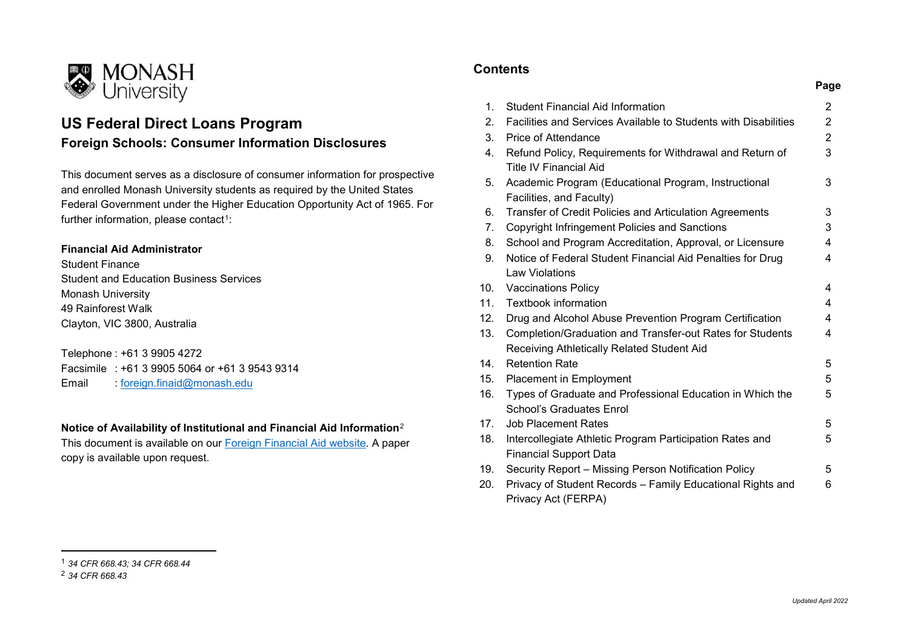

## **US Federal Direct Loans Program Foreign Schools: Consumer Information Disclosures**

This document serves as a disclosure of consumer information for prospective and enrolled Monash University students as required by the United States Federal Government under the Higher Education Opportunity Act of 1965. For further information, please contact<sup>1</sup>:

## **Financial Aid Administrator**

Student Finance Student and Education Business Services Monash University 49 Rainforest Walk Clayton, VIC 3800, Australia

Telephone : +61 3 9905 4272 Facsimile : +61 3 9905 5064 or +61 3 9543 9314 Email : [foreign.finaid@monash.edu](mailto:foreign.finaid@monash.edu)

## **Notice of Availability of Institutional and Financial Aid Information**[2](#page-0-1)

This document is available on our [Foreign Financial Aid website.](https://www.monash.edu/students/admin/fees/aid/usa) A paper copy is available upon request.

## <span id="page-0-1"></span><span id="page-0-0"></span>**Contents**

|     |                                                                                                         | Page           |
|-----|---------------------------------------------------------------------------------------------------------|----------------|
| 1.  | <b>Student Financial Aid Information</b>                                                                | $\overline{2}$ |
| 2.  | Facilities and Services Available to Students with Disabilities                                         | $\overline{2}$ |
| 3.  | Price of Attendance                                                                                     | $\overline{2}$ |
| 4.  | Refund Policy, Requirements for Withdrawal and Return of<br><b>Title IV Financial Aid</b>               | 3              |
| 5.  | Academic Program (Educational Program, Instructional<br>Facilities, and Faculty)                        | 3              |
| 6.  | Transfer of Credit Policies and Articulation Agreements                                                 | 3              |
| 7.  | Copyright Infringement Policies and Sanctions                                                           | 3              |
| 8.  | School and Program Accreditation, Approval, or Licensure                                                | 4              |
| 9.  | Notice of Federal Student Financial Aid Penalties for Drug<br>Law Violations                            | 4              |
| 10. | <b>Vaccinations Policy</b>                                                                              | 4              |
| 11. | <b>Textbook information</b>                                                                             | 4              |
| 12. | Drug and Alcohol Abuse Prevention Program Certification                                                 | 4              |
| 13. | Completion/Graduation and Transfer-out Rates for Students<br>Receiving Athletically Related Student Aid | 4              |
| 14. | <b>Retention Rate</b>                                                                                   | 5              |
| 15. | Placement in Employment                                                                                 | 5              |
| 16. | Types of Graduate and Professional Education in Which the<br><b>School's Graduates Enrol</b>            | 5              |
| 17. | <b>Job Placement Rates</b>                                                                              | 5              |
| 18. | Intercollegiate Athletic Program Participation Rates and<br><b>Financial Support Data</b>               | 5              |
| 19. | Security Report - Missing Person Notification Policy                                                    | 5              |
| 20. | Privacy of Student Records - Family Educational Rights and<br>Privacy Act (FERPA)                       | 6              |

 $\overline{\phantom{a}}$ 

<sup>1</sup> *34 CFR 668.43; 34 CFR 668.44*

<sup>2</sup> *34 CFR 668.43*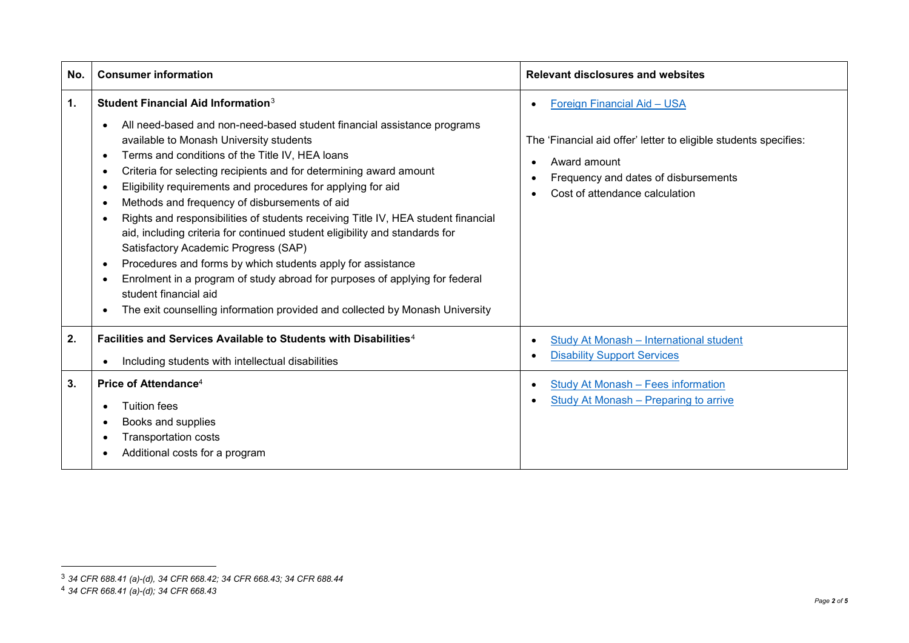<span id="page-1-2"></span><span id="page-1-1"></span>

| No. | <b>Consumer information</b>                                                                                                                                                                                                                                                                                                                                                                                                                                                                                                                                                                                                                                                                                                                                                                                                                                                                                                                                            | <b>Relevant disclosures and websites</b>                                                                                                                                                  |
|-----|------------------------------------------------------------------------------------------------------------------------------------------------------------------------------------------------------------------------------------------------------------------------------------------------------------------------------------------------------------------------------------------------------------------------------------------------------------------------------------------------------------------------------------------------------------------------------------------------------------------------------------------------------------------------------------------------------------------------------------------------------------------------------------------------------------------------------------------------------------------------------------------------------------------------------------------------------------------------|-------------------------------------------------------------------------------------------------------------------------------------------------------------------------------------------|
| 1.  | Student Financial Aid Information <sup>3</sup><br>All need-based and non-need-based student financial assistance programs<br>$\bullet$<br>available to Monash University students<br>Terms and conditions of the Title IV, HEA loans<br>$\bullet$<br>Criteria for selecting recipients and for determining award amount<br>٠<br>Eligibility requirements and procedures for applying for aid<br>٠<br>Methods and frequency of disbursements of aid<br>٠<br>Rights and responsibilities of students receiving Title IV, HEA student financial<br>$\bullet$<br>aid, including criteria for continued student eligibility and standards for<br>Satisfactory Academic Progress (SAP)<br>Procedures and forms by which students apply for assistance<br>$\bullet$<br>Enrolment in a program of study abroad for purposes of applying for federal<br>$\bullet$<br>student financial aid<br>The exit counselling information provided and collected by Monash University<br>٠ | Foreign Financial Aid - USA<br>The 'Financial aid offer' letter to eligible students specifies:<br>Award amount<br>Frequency and dates of disbursements<br>Cost of attendance calculation |
| 2.  | Facilities and Services Available to Students with Disabilities <sup>4</sup><br>Including students with intellectual disabilities<br>$\bullet$                                                                                                                                                                                                                                                                                                                                                                                                                                                                                                                                                                                                                                                                                                                                                                                                                         | Study At Monash - International student<br><b>Disability Support Services</b>                                                                                                             |
| 3.  | Price of Attendance <sup>4</sup><br>Tuition fees<br>Books and supplies<br><b>Transportation costs</b><br>Additional costs for a program                                                                                                                                                                                                                                                                                                                                                                                                                                                                                                                                                                                                                                                                                                                                                                                                                                | Study At Monash - Fees information<br><b>Study At Monash - Preparing to arrive</b>                                                                                                        |

<span id="page-1-0"></span>l

<sup>3</sup> *34 CFR 688.41 (a)-(d), 34 CFR 668.42; 34 CFR 668.43; 34 CFR 688.44*

<sup>4</sup> *34 CFR 668.41 (a)-(d); 34 CFR 668.43*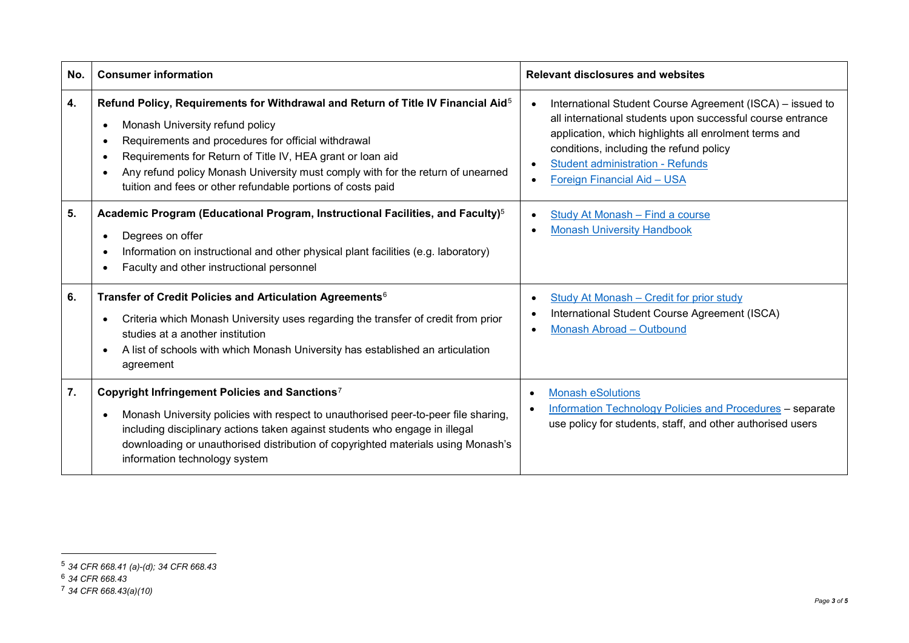<span id="page-2-3"></span><span id="page-2-2"></span><span id="page-2-1"></span><span id="page-2-0"></span>

| No. | <b>Consumer information</b>                                                                                                                                                                                                                                                                                                                                                                                                                        | <b>Relevant disclosures and websites</b>                                                                                                                                                                                                                                                              |
|-----|----------------------------------------------------------------------------------------------------------------------------------------------------------------------------------------------------------------------------------------------------------------------------------------------------------------------------------------------------------------------------------------------------------------------------------------------------|-------------------------------------------------------------------------------------------------------------------------------------------------------------------------------------------------------------------------------------------------------------------------------------------------------|
| 4.  | Refund Policy, Requirements for Withdrawal and Return of Title IV Financial Aid <sup>5</sup><br>Monash University refund policy<br>$\bullet$<br>Requirements and procedures for official withdrawal<br>$\bullet$<br>Requirements for Return of Title IV, HEA grant or loan aid<br>$\bullet$<br>Any refund policy Monash University must comply with for the return of unearned<br>٠<br>tuition and fees or other refundable portions of costs paid | International Student Course Agreement (ISCA) - issued to<br>all international students upon successful course entrance<br>application, which highlights all enrolment terms and<br>conditions, including the refund policy<br><b>Student administration - Refunds</b><br>Foreign Financial Aid - USA |
| 5.  | Academic Program (Educational Program, Instructional Facilities, and Faculty) <sup>5</sup><br>Degrees on offer<br>$\bullet$<br>Information on instructional and other physical plant facilities (e.g. laboratory)<br>٠<br>Faculty and other instructional personnel                                                                                                                                                                                | Study At Monash - Find a course<br><b>Monash University Handbook</b><br>$\bullet$                                                                                                                                                                                                                     |
| 6.  | Transfer of Credit Policies and Articulation Agreements <sup>6</sup><br>Criteria which Monash University uses regarding the transfer of credit from prior<br>$\bullet$<br>studies at a another institution<br>A list of schools with which Monash University has established an articulation<br>$\bullet$<br>agreement                                                                                                                             | <b>Study At Monash - Credit for prior study</b><br>International Student Course Agreement (ISCA)<br>Monash Abroad - Outbound                                                                                                                                                                          |
| 7.  | Copyright Infringement Policies and Sanctions <sup>7</sup><br>Monash University policies with respect to unauthorised peer-to-peer file sharing,<br>$\bullet$<br>including disciplinary actions taken against students who engage in illegal<br>downloading or unauthorised distribution of copyrighted materials using Monash's<br>information technology system                                                                                  | <b>Monash eSolutions</b><br><b>Information Technology Policies and Procedures - separate</b><br>use policy for students, staff, and other authorised users                                                                                                                                            |

 $\overline{\phantom{a}}$ 

<sup>5</sup> *34 CFR 668.41 (a)-(d); 34 CFR 668.43*

<sup>6</sup> *34 CFR 668.43*

<sup>7</sup> *34 CFR 668.43(a)(10)*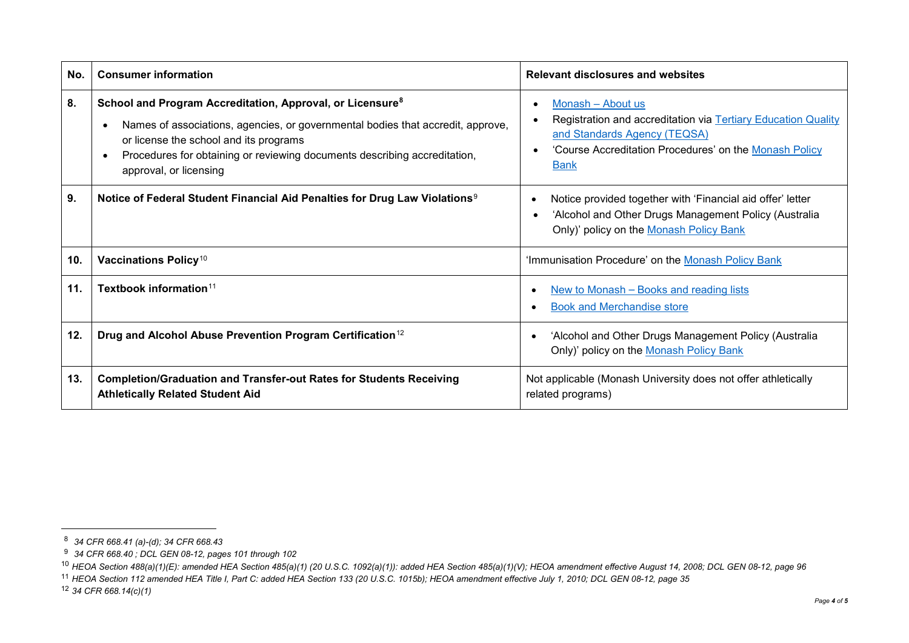<span id="page-3-4"></span><span id="page-3-3"></span><span id="page-3-2"></span><span id="page-3-1"></span><span id="page-3-0"></span>

| No. | <b>Consumer information</b>                                                                                                                                                                                                                                                                                                 | <b>Relevant disclosures and websites</b>                                                                                                                                                    |
|-----|-----------------------------------------------------------------------------------------------------------------------------------------------------------------------------------------------------------------------------------------------------------------------------------------------------------------------------|---------------------------------------------------------------------------------------------------------------------------------------------------------------------------------------------|
| 8.  | School and Program Accreditation, Approval, or Licensure <sup>8</sup><br>Names of associations, agencies, or governmental bodies that accredit, approve,<br>$\bullet$<br>or license the school and its programs<br>Procedures for obtaining or reviewing documents describing accreditation,<br>٠<br>approval, or licensing | Monash - About us<br>Registration and accreditation via Tertiary Education Quality<br>and Standards Agency (TEQSA)<br>'Course Accreditation Procedures' on the Monash Policy<br><b>Bank</b> |
| 9.  | Notice of Federal Student Financial Aid Penalties for Drug Law Violations <sup>9</sup>                                                                                                                                                                                                                                      | Notice provided together with 'Financial aid offer' letter<br>'Alcohol and Other Drugs Management Policy (Australia<br>Only)' policy on the Monash Policy Bank                              |
| 10. | Vaccinations Policy <sup>10</sup>                                                                                                                                                                                                                                                                                           | 'Immunisation Procedure' on the Monash Policy Bank                                                                                                                                          |
| 11. | Textbook information $11$                                                                                                                                                                                                                                                                                                   | New to Monash - Books and reading lists<br><b>Book and Merchandise store</b>                                                                                                                |
| 12. | Drug and Alcohol Abuse Prevention Program Certification <sup>12</sup>                                                                                                                                                                                                                                                       | 'Alcohol and Other Drugs Management Policy (Australia<br>Only)' policy on the Monash Policy Bank                                                                                            |
| 13. | <b>Completion/Graduation and Transfer-out Rates for Students Receiving</b><br><b>Athletically Related Student Aid</b>                                                                                                                                                                                                       | Not applicable (Monash University does not offer athletically<br>related programs)                                                                                                          |

l

<sup>8</sup> *34 CFR 668.41 (a)-(d); 34 CFR 668.43*

<sup>9</sup> *34 CFR 668.40 ; DCL GEN 08-12, pages 101 through 102*

<sup>10</sup> *HEOA Section 488(a)(1)(E): amended HEA Section 485(a)(1) (20 U.S.C. 1092(a)(1)): added HEA Section 485(a)(1)(V); HEOA amendment effective August 14, 2008; DCL GEN 08-12, page 96*

<sup>11</sup> *HEOA Section 112 amended HEA Title I, Part C: added HEA Section 133 (20 U.S.C. 1015b); HEOA amendment effective July 1, 2010; DCL GEN 08-12, page 35*

<sup>12</sup> *34 CFR 668.14(c)(1)*